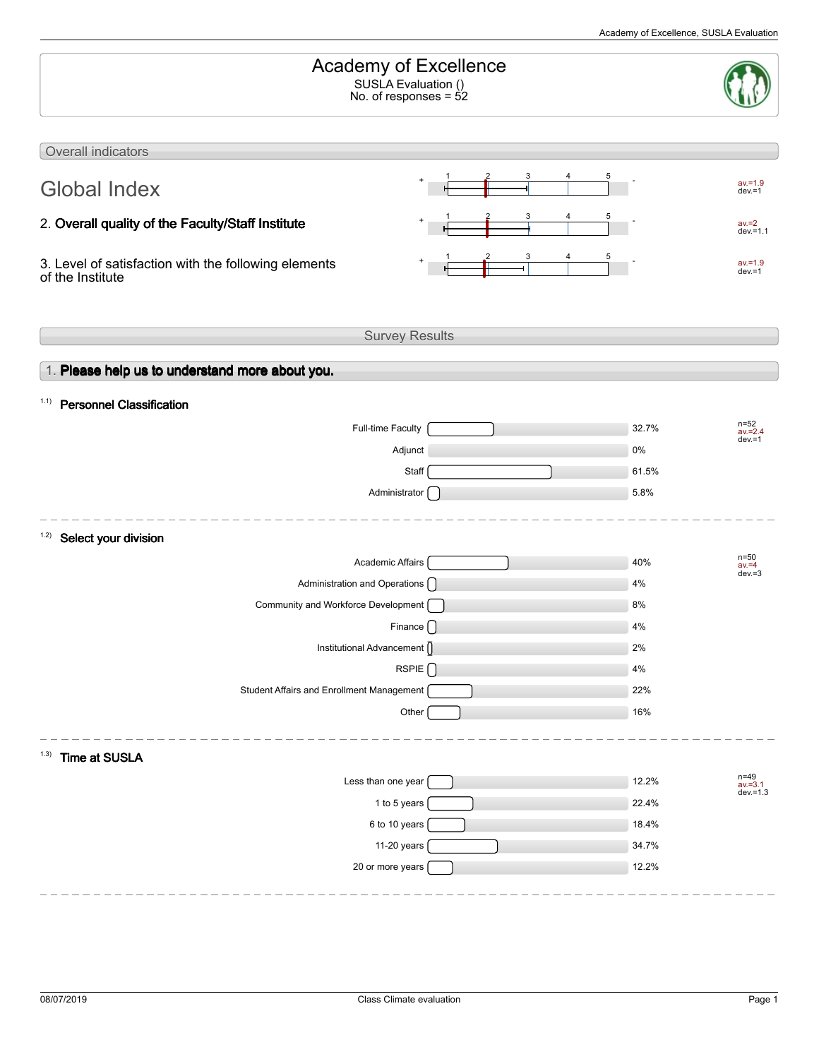| Academy of Excellence<br>SUSLA Evaluation ()<br>No. of responses = $52$  |                       |       |                                     |  |  |
|--------------------------------------------------------------------------|-----------------------|-------|-------------------------------------|--|--|
| Overall indicators                                                       |                       |       |                                     |  |  |
| <b>Global Index</b>                                                      |                       | 5     | $av = 1.9$<br>$dev = 1$             |  |  |
| 2. Overall quality of the Faculty/Staff Institute                        |                       |       | $av = 2$<br>$dev = 1.1$             |  |  |
| 3. Level of satisfaction with the following elements<br>of the Institute |                       |       | $av = 1.9$<br>$dev = 1$             |  |  |
|                                                                          | <b>Survey Results</b> |       |                                     |  |  |
| 1. Please help us to understand more about you.                          |                       |       |                                     |  |  |
| <b>Personnel Classification</b><br>1.1)                                  |                       |       |                                     |  |  |
| Full-time Faculty                                                        |                       | 32.7% | $n = 52$<br>$av = 2.4$<br>$dev = 1$ |  |  |
|                                                                          | Adjunct               | 0%    |                                     |  |  |
|                                                                          | Staff                 | 61.5% |                                     |  |  |
|                                                                          | Administrator [       | 5.8%  |                                     |  |  |
| 1.2)<br>Select your division                                             |                       |       |                                     |  |  |
| Academic Affairs                                                         |                       | 40%   | $n=50$<br>$av = 4$                  |  |  |
| Administration and Operations ()                                         |                       | 4%    | $dev = 3$                           |  |  |
| Community and Workforce Development [                                    |                       | 8%    |                                     |  |  |
|                                                                          | Finance [ ]           | 4%    |                                     |  |  |
| Institutional Advancement ()                                             |                       | 2%    |                                     |  |  |
|                                                                          | RSPIE                 | 4%    |                                     |  |  |
| Student Affairs and Enrollment Management                                |                       | 22%   |                                     |  |  |
|                                                                          | Other                 | 16%   |                                     |  |  |
| <b>Time at SUSLA</b><br>(1.3)                                            |                       |       |                                     |  |  |
| Less than one year                                                       |                       | 12.2% | n=49<br>av.=3.1<br>dev.=1.3         |  |  |
|                                                                          | 1 to 5 years          | 22.4% |                                     |  |  |
|                                                                          | 6 to 10 years         | 18.4% |                                     |  |  |
|                                                                          | 11-20 years           | 34.7% |                                     |  |  |
| 20 or more years                                                         |                       | 12.2% |                                     |  |  |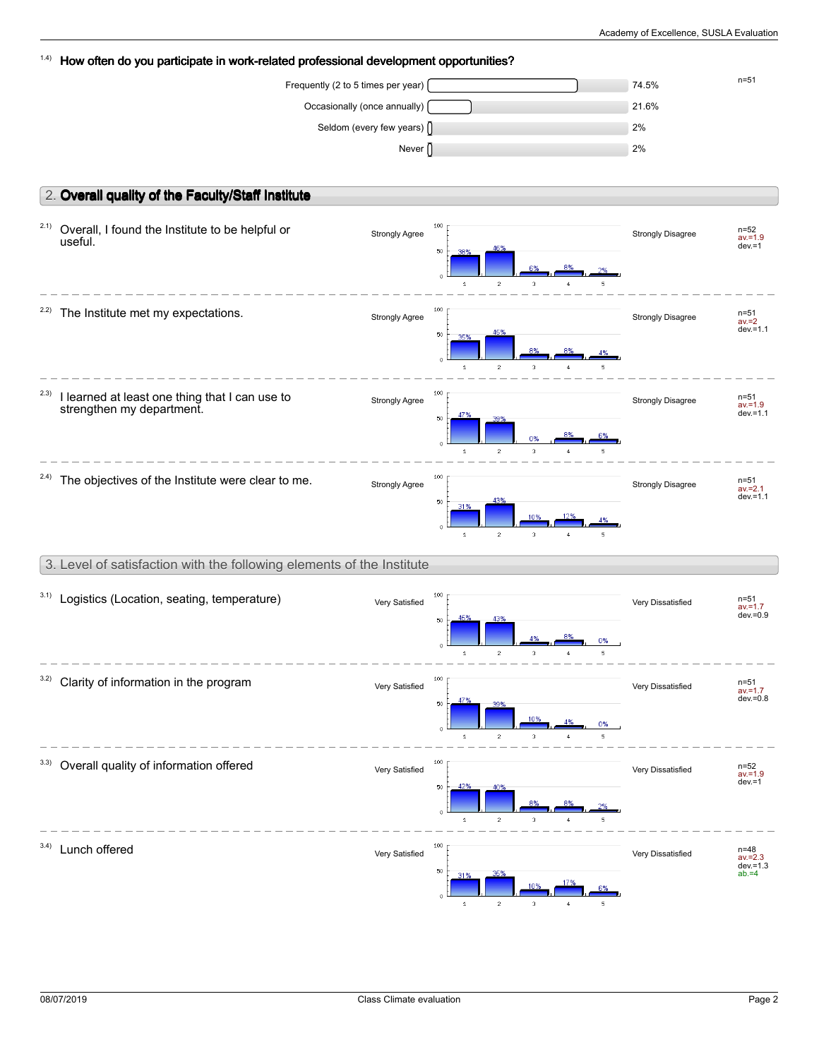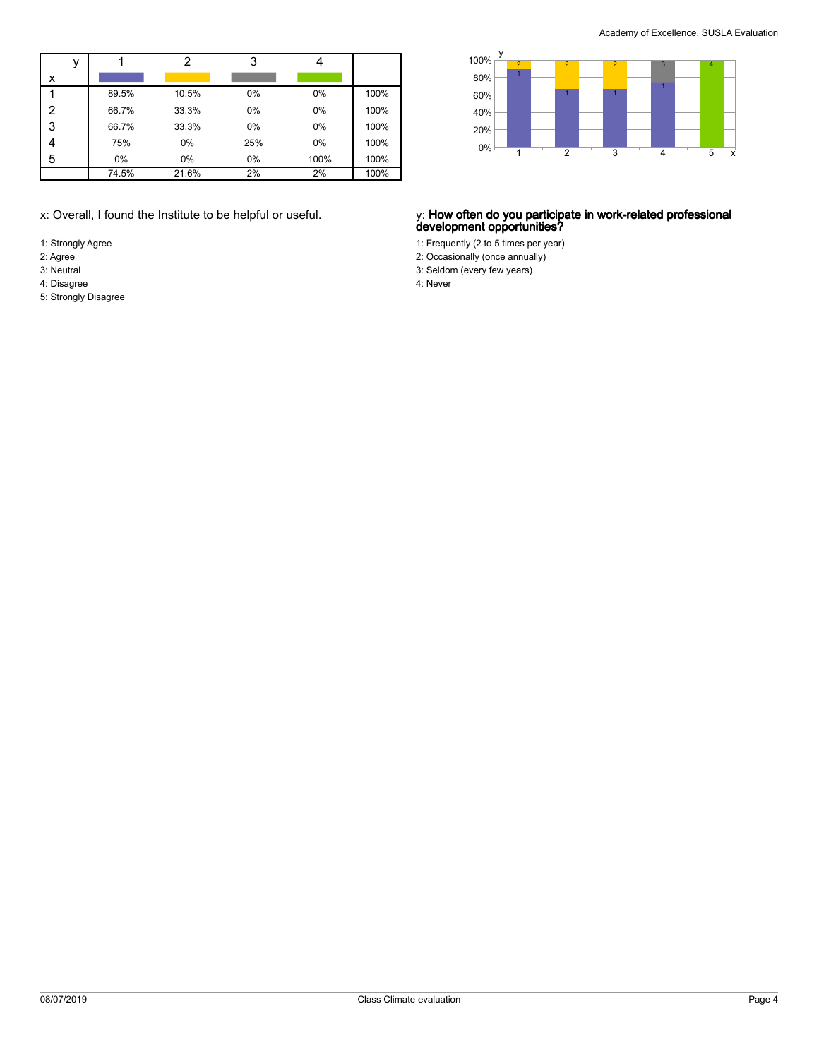|   |       | າ     | 3   |      |      |
|---|-------|-------|-----|------|------|
| x |       |       |     |      |      |
|   | 89.5% | 10.5% | 0%  | 0%   | 100% |
| 2 | 66.7% | 33.3% | 0%  | 0%   | 100% |
| 3 | 66.7% | 33.3% | 0%  | 0%   | 100% |
|   | 75%   | 0%    | 25% | 0%   | 100% |
| 5 | 0%    | 0%    | 0%  | 100% | 100% |
|   | 74.5% | 21.6% | 2%  | 2%   | 100% |

- 1: Strongly Agree
- 2: Agree
- 3: Neutral 4: Disagree
- 5: Strongly Disagree



### x: Overall, I found the Institute to be helpful or useful. y: **How often do you participate in work-related professional development opportunities?**

- 1: Frequently (2 to 5 times per year)
- 2: Occasionally (once annually)
- 3: Seldom (every few years) 4: Never